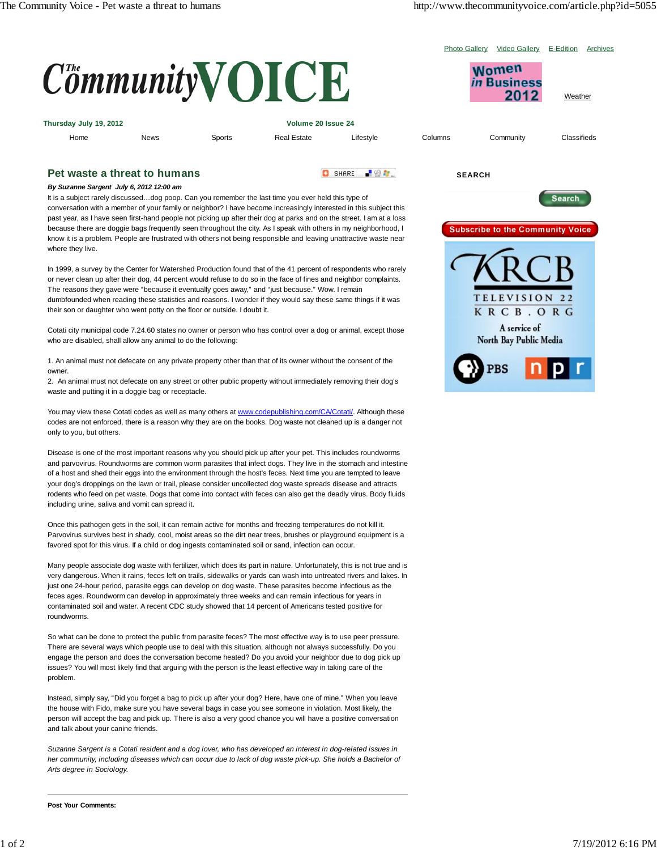Photo Gallery Video Gallery E-Edition Archives

| $Commuty$ ( ) I C E                                                       |             |        |                    |               |         | <b>Women</b><br><b>Rusiness</b><br>2012 | Weather     |
|---------------------------------------------------------------------------|-------------|--------|--------------------|---------------|---------|-----------------------------------------|-------------|
| Thursday July 19, 2012<br>Volume 20 Issue 24                              |             |        |                    |               |         |                                         |             |
| Home                                                                      | <b>News</b> | Sports | <b>Real Estate</b> | Lifestyle     | Columns | Community                               | Classifieds |
| Pet waste a threat to humans<br>By Suzanno Sargont, July 6, 2012 12:00 am |             |        |                    | 上级车。<br>SHARE |         | <b>SEARCH</b>                           |             |

## *By Suzanne Sargent July 6, 2012 12:00 am*

It is a subject rarely discussed…dog poop. Can you remember the last time you ever held this type of conversation with a member of your family or neighbor? I have become increasingly interested in this subject this past year, as I have seen first-hand people not picking up after their dog at parks and on the street. I am at a loss because there are doggie bags frequently seen throughout the city. As I speak with others in my neighborhood, I know it is a problem. People are frustrated with others not being responsible and leaving unattractive waste near where they live.

In 1999, a survey by the Center for Watershed Production found that of the 41 percent of respondents who rarely or never clean up after their dog, 44 percent would refuse to do so in the face of fines and neighbor complaints. The reasons they gave were "because it eventually goes away," and "just because." Wow. I remain dumbfounded when reading these statistics and reasons. I wonder if they would say these same things if it was their son or daughter who went potty on the floor or outside. I doubt it.

Cotati city municipal code 7.24.60 states no owner or person who has control over a dog or animal, except those who are disabled, shall allow any animal to do the following:

1. An animal must not defecate on any private property other than that of its owner without the consent of the owner.

2. An animal must not defecate on any street or other public property without immediately removing their dog's waste and putting it in a doggie bag or receptacle.

You may view these Cotati codes as well as many others at www.codepublishing.com/CA/Cotati/. Although these codes are not enforced, there is a reason why they are on the books. Dog waste not cleaned up is a danger not only to you, but others.

Disease is one of the most important reasons why you should pick up after your pet. This includes roundworms and parvovirus. Roundworms are common worm parasites that infect dogs. They live in the stomach and intestine of a host and shed their eggs into the environment through the host's feces. Next time you are tempted to leave your dog's droppings on the lawn or trail, please consider uncollected dog waste spreads disease and attracts rodents who feed on pet waste. Dogs that come into contact with feces can also get the deadly virus. Body fluids including urine, saliva and vomit can spread it.

Once this pathogen gets in the soil, it can remain active for months and freezing temperatures do not kill it. Parvovirus survives best in shady, cool, moist areas so the dirt near trees, brushes or playground equipment is a favored spot for this virus. If a child or dog ingests contaminated soil or sand, infection can occur.

Many people associate dog waste with fertilizer, which does its part in nature. Unfortunately, this is not true and is very dangerous. When it rains, feces left on trails, sidewalks or yards can wash into untreated rivers and lakes. In just one 24-hour period, parasite eggs can develop on dog waste. These parasites become infectious as the feces ages. Roundworm can develop in approximately three weeks and can remain infectious for years in contaminated soil and water. A recent CDC study showed that 14 percent of Americans tested positive for roundworms.

So what can be done to protect the public from parasite feces? The most effective way is to use peer pressure. There are several ways which people use to deal with this situation, although not always successfully. Do you engage the person and does the conversation become heated? Do you avoid your neighbor due to dog pick up issues? You will most likely find that arguing with the person is the least effective way in taking care of the problem.

Instead, simply say, "Did you forget a bag to pick up after your dog? Here, have one of mine." When you leave the house with Fido, make sure you have several bags in case you see someone in violation. Most likely, the person will accept the bag and pick up. There is also a very good chance you will have a positive conversation and talk about your canine friends.

*Suzanne Sargent is a Cotati resident and a dog lover, who has developed an interest in dog-related issues in her community, including diseases which can occur due to lack of dog waste pick-up. She holds a Bachelor of Arts degree in Sociology.*

**Post Your Comments:**